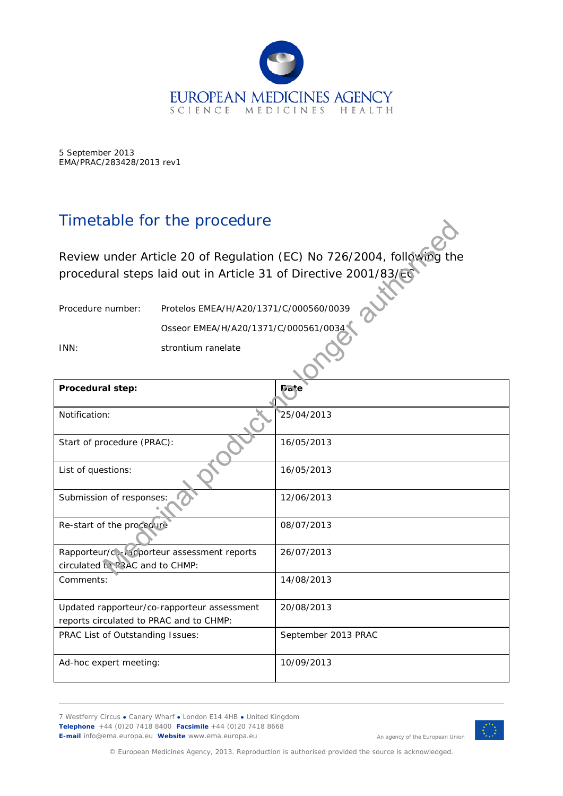

5 September 2013 EMA/PRAC/283428/2013 rev1

## Timetable for the procedure

| Timerable for the procedure                                                                                                              |                                        |                     |  |
|------------------------------------------------------------------------------------------------------------------------------------------|----------------------------------------|---------------------|--|
| Review under Article 20 of Regulation (EC) No 726/2004, following the<br>procedural steps laid out in Article 31 of Directive 2001/83/EC |                                        |                     |  |
| Procedure number:                                                                                                                        | Protelos EMEA/H/A20/1371/C/000560/0039 |                     |  |
|                                                                                                                                          | Osseor EMEA/H/A20/1371/C/000561/0034   |                     |  |
| INN:                                                                                                                                     | strontium ranelate                     |                     |  |
| Procedural step:                                                                                                                         |                                        | <b>Date</b>         |  |
| Notification:                                                                                                                            |                                        | 25/04/2013          |  |
| Start of procedure (PRAC):                                                                                                               |                                        | 16/05/2013          |  |
| List of questions:                                                                                                                       |                                        | 16/05/2013          |  |
| Submission of responses:                                                                                                                 |                                        | 12/06/2013          |  |
| Re-start of the proceduri                                                                                                                |                                        | 08/07/2013          |  |
| Rapporteur/co-reporteur assessment reports<br>circulated to PRAC and to CHMP:                                                            |                                        | 26/07/2013          |  |
| Comments:                                                                                                                                |                                        | 14/08/2013          |  |
| Updated rapporteur/co-rapporteur assessment                                                                                              |                                        | 20/08/2013          |  |
| reports circulated to PRAC and to CHMP:<br>PRAC List of Outstanding Issues:                                                              |                                        | September 2013 PRAC |  |
|                                                                                                                                          |                                        |                     |  |
| Ad-hoc expert meeting:                                                                                                                   |                                        | 10/09/2013          |  |

7 Westferry Circus **●** Canary Wharf **●** London E14 4HB **●** United Kingdom **Telephone** +44 (0)20 7418 8400 **Facsimile** +44 (0)20 7418 8668 **E-mail** info@ema.europa.eu **Website** www.ema.europa.eu



An agency of the European Union

© European Medicines Agency, 2013. Reproduction is authorised provided the source is acknowledged.